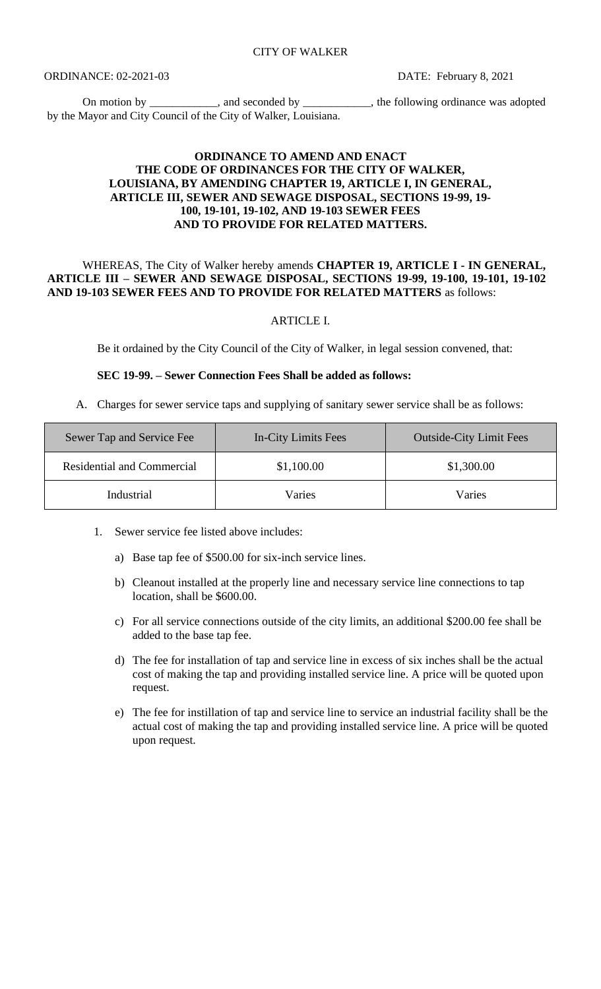On motion by \_\_\_\_\_\_\_\_\_, and seconded by \_\_\_\_\_\_\_\_\_, the following ordinance was adopted by the Mayor and City Council of the City of Walker, Louisiana.

## **ORDINANCE TO AMEND AND ENACT THE CODE OF ORDINANCES FOR THE CITY OF WALKER, LOUISIANA, BY AMENDING CHAPTER 19, ARTICLE I, IN GENERAL, ARTICLE III, SEWER AND SEWAGE DISPOSAL, SECTIONS 19-99, 19- 100, 19-101, 19-102, AND 19-103 SEWER FEES AND TO PROVIDE FOR RELATED MATTERS.**

## WHEREAS, The City of Walker hereby amends **CHAPTER 19, ARTICLE I - IN GENERAL, ARTICLE III – SEWER AND SEWAGE DISPOSAL, SECTIONS 19-99, 19-100, 19-101, 19-102 AND 19-103 SEWER FEES AND TO PROVIDE FOR RELATED MATTERS** as follows:

### ARTICLE I.

Be it ordained by the City Council of the City of Walker, in legal session convened, that:

#### **SEC 19-99. – Sewer Connection Fees Shall be added as follows:**

A. Charges for sewer service taps and supplying of sanitary sewer service shall be as follows:

| Sewer Tap and Service Fee         | In-City Limits Fees | <b>Outside-City Limit Fees</b> |
|-----------------------------------|---------------------|--------------------------------|
| <b>Residential and Commercial</b> | \$1,100.00          | \$1,300.00                     |
| Industrial                        | Varies              | Varies                         |

- 1. Sewer service fee listed above includes:
	- a) Base tap fee of \$500.00 for six-inch service lines.
	- b) Cleanout installed at the properly line and necessary service line connections to tap location, shall be \$600.00.
	- c) For all service connections outside of the city limits, an additional \$200.00 fee shall be added to the base tap fee.
	- d) The fee for installation of tap and service line in excess of six inches shall be the actual cost of making the tap and providing installed service line. A price will be quoted upon request.
	- e) The fee for instillation of tap and service line to service an industrial facility shall be the actual cost of making the tap and providing installed service line. A price will be quoted upon request.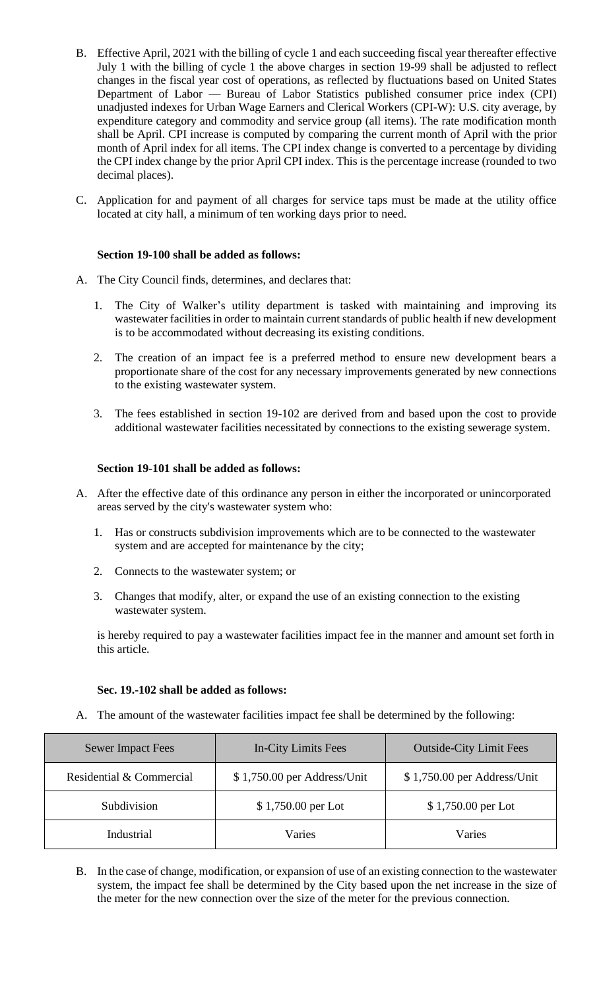- B. Effective April, 2021 with the billing of cycle 1 and each succeeding fiscal year thereafter effective July 1 with the billing of cycle 1 the above charges in section 19-99 shall be adjusted to reflect changes in the fiscal year cost of operations, as reflected by fluctuations based on United States Department of Labor — Bureau of Labor Statistics published consumer price index (CPI) unadjusted indexes for Urban Wage Earners and Clerical Workers (CPI-W): U.S. city average, by expenditure category and commodity and service group (all items). The rate modification month shall be April. CPI increase is computed by comparing the current month of April with the prior month of April index for all items. The CPI index change is converted to a percentage by dividing the CPI index change by the prior April CPI index. This is the percentage increase (rounded to two decimal places).
- C. Application for and payment of all charges for service taps must be made at the utility office located at city hall, a minimum of ten working days prior to need.

## **Section 19-100 shall be added as follows:**

- A. The City Council finds, determines, and declares that:
	- 1. The City of Walker's utility department is tasked with maintaining and improving its wastewater facilities in order to maintain current standards of public health if new development is to be accommodated without decreasing its existing conditions.
	- 2. The creation of an impact fee is a preferred method to ensure new development bears a proportionate share of the cost for any necessary improvements generated by new connections to the existing wastewater system.
	- 3. The fees established in section 19-102 are derived from and based upon the cost to provide additional wastewater facilities necessitated by connections to the existing sewerage system.

### **Section 19-101 shall be added as follows:**

- A. After the effective date of this ordinance any person in either the incorporated or unincorporated areas served by the city's wastewater system who:
	- 1. Has or constructs subdivision improvements which are to be connected to the wastewater system and are accepted for maintenance by the city;
	- 2. Connects to the wastewater system; or
	- 3. Changes that modify, alter, or expand the use of an existing connection to the existing wastewater system.

is hereby required to pay a wastewater facilities impact fee in the manner and amount set forth in this article.

### **Sec. 19.-102 shall be added as follows:**

A. The amount of the wastewater facilities impact fee shall be determined by the following:

| <b>Sewer Impact Fees</b> | In-City Limits Fees         | <b>Outside-City Limit Fees</b> |
|--------------------------|-----------------------------|--------------------------------|
| Residential & Commercial | \$1,750.00 per Address/Unit | \$1,750.00 per Address/Unit    |
| Subdivision              | \$1,750.00 per Lot          | $$1,750.00$ per Lot            |
| Industrial               | Varies                      | Varies                         |

B. In the case of change, modification, or expansion of use of an existing connection to the wastewater system, the impact fee shall be determined by the City based upon the net increase in the size of the meter for the new connection over the size of the meter for the previous connection.